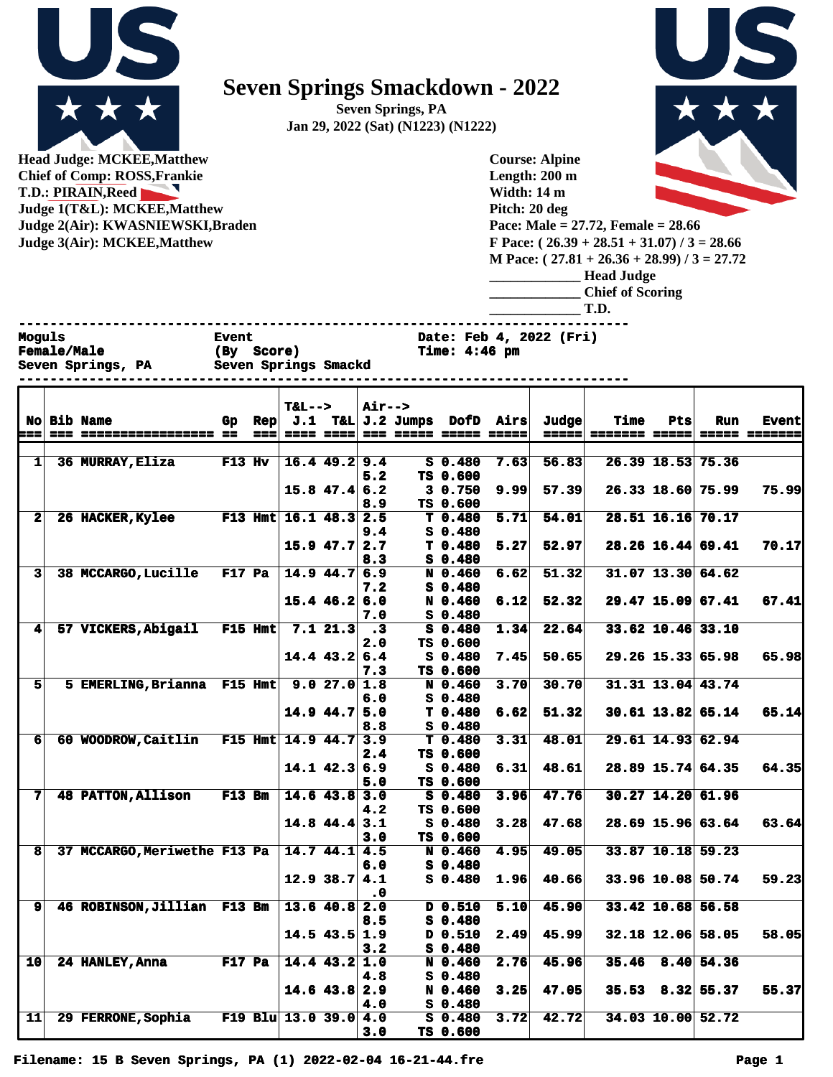

## **Seven Springs Smackdown - 2022**

**Seven Springs, PA Jan 29, 2022 (Sat) (N1223) (N1222)**



**Head Judge: MCKEE,Matthew Chief of Comp: ROSS,Frankie T.D.: PIRAIN,Reed Judge 1(T&L): MCKEE,Matthew Judge 2(Air): KWASNIEWSKI,Braden Judge 3(Air): MCKEE,Matthew** 

**Course: Alpine Length: 200 m Width: 14 m Pitch: 20 deg Pace: Male = 27.72, Female = 28.66 F Pace: ( 26.39 + 28.51 + 31.07) / 3 = 28.66 M Pace: ( 27.81 + 26.36 + 28.99) / 3 = 27.72**

| <b>Head Judge</b>       |
|-------------------------|
| <b>Chief of Scoring</b> |

**\_\_\_\_\_\_\_\_\_\_\_\_\_ T.D.**

**------------------------------------------------------------------------------**

**Moguls Event** Event Date: Feb 4, 2022 (Fri)<br>
Female/Male (By Score) Time: 4:46 pm **Female/Male (By Score) Time: 4:46 pm**

|                      |        | Seven Springs, PA Seven Springs Smackd<br>--------------------------------- |               |         |                              |                          |                  |            |                     |                             |              |                      |                   |                        |                     |
|----------------------|--------|-----------------------------------------------------------------------------|---------------|---------|------------------------------|--------------------------|------------------|------------|---------------------|-----------------------------|--------------|----------------------|-------------------|------------------------|---------------------|
|                      |        | No Bib Name                                                                 | Gp Rep        |         | $T&L-->$                     |                          | <b>Air--&gt;</b> |            |                     | J.1 T&L J.2 Jumps DofD Airs | <b>Judge</b> | Time                 | Pts               | Run                    | <b>Event</b>        |
| :==                  | $= 22$ | =============== ==                                                          |               | $= - -$ |                              |                          |                  | $= 22.227$ | ------              | ------                      | =====        | <b>======= =====</b> |                   |                        | <b>===== ======</b> |
|                      |        |                                                                             |               |         |                              |                          |                  |            |                     |                             |              |                      |                   |                        |                     |
| 1 <sup>1</sup>       |        | 36 MURRAY, Eliza                                                            | $F13$ Hv      |         |                              | $16.4$ 49.2 9.4          |                  |            | $S$ 0.480           | 7.63                        | 56.83        |                      |                   | 26.39 18.53 75.36      |                     |
|                      |        |                                                                             |               |         |                              |                          | 5.2              |            | TS 0.600            |                             |              |                      |                   |                        |                     |
|                      |        |                                                                             |               |         |                              | $15.8$ 47.4 6.2          |                  |            | 3 0.750             | 9.99                        | 57.39        |                      | 26.33 18.60 75.99 |                        | 75.99               |
| $\mathbf{2}$         |        | 26 HACKER, Kylee                                                            |               |         | <b>F13 Hmt</b> 16.1 48.3 2.5 |                          | 8.9              |            | TS 0.600<br>T 0.480 | 5.71                        | 54.01        |                      | 28.51 16.16 70.17 |                        |                     |
|                      |        |                                                                             |               |         |                              |                          | 9.4              |            | S 0.480             |                             |              |                      |                   |                        |                     |
|                      |        |                                                                             |               |         |                              | $15.9$ 47.7 2.7          |                  |            | T 0.480             | 5.27                        | 52.97        |                      |                   | $28.26$ 16.44 69.41    | 70.17               |
|                      |        |                                                                             |               |         |                              |                          | 8.3              |            | S 0.480             |                             |              |                      |                   |                        |                     |
| $\mathbf{3}$         |        | 38 MCCARGO, Lucille                                                         | <b>F17 Pa</b> |         |                              | $14.9$ $44.7$ 6.9        |                  |            | N 0.460             | 6.62                        | 51.32        |                      |                   | $31.07$ 13.30 64.62    |                     |
|                      |        |                                                                             |               |         |                              |                          | 7.2              |            | $S_0.480$           |                             |              |                      |                   |                        |                     |
|                      |        |                                                                             |               |         |                              | $15.4$ 46.2 6.0          |                  |            | N 0.460             | 6.12                        | 52.32        |                      |                   | 29.47 15.09 67.41      | 67.41               |
|                      |        |                                                                             |               |         |                              |                          | 7.0              |            | S 0.480             |                             |              |                      |                   |                        |                     |
| $\blacktriangleleft$ |        | 57 VICKERS, Abigail                                                         | F15 Hmt       |         |                              | 7.121.3 .3               |                  |            | S 0.480             | 1.34                        | 22.64        |                      | 33.62 10.46 33.10 |                        |                     |
|                      |        |                                                                             |               |         |                              |                          | 2.0              |            | TS 0.600            |                             |              |                      |                   |                        |                     |
|                      |        |                                                                             |               |         |                              | $14.4$ 43.2 6.4          |                  |            | S 0.480             | 7.45                        | 50.65        |                      |                   | 29.26 15.33 65.98      | 65.98               |
|                      |        |                                                                             |               |         |                              |                          | 7.3              |            | TS 0.600            |                             |              |                      |                   |                        |                     |
| 51                   |        | 5 EMERLING, Brianna F15 Hmt                                                 |               |         |                              | 9.027.01.8               |                  |            | N 0.460             | 3.70                        | 30.70        |                      |                   | 31.31 13.04 43.74      |                     |
|                      |        |                                                                             |               |         |                              |                          | 6.0              |            | $S_0.480$           |                             |              |                      |                   |                        |                     |
|                      |        |                                                                             |               |         |                              | $14.9$ 44.7 5.0          |                  |            | T 0.480             | 6.62                        | 51.32        |                      |                   | $30.61$ 13.82 65.14    | 65.14               |
|                      |        |                                                                             |               |         |                              |                          | 8.8              |            | S 0.480             |                             |              |                      |                   |                        |                     |
| 6 <sup>1</sup>       |        | 60 WOODROW, Caitlin F15 Hmt 14.9 44.7 3.9                                   |               |         |                              |                          |                  |            | T 0.480             | 3.31                        | 48.01        |                      |                   | 29.61 14.93 62.94      |                     |
|                      |        |                                                                             |               |         |                              | $14.1$ $42.3$ 6.9        | 2.4              |            | TS 0.600            |                             |              |                      |                   | 28.89 15.74 64.35      | 64.35               |
|                      |        |                                                                             |               |         |                              |                          | 5.0              |            | S 0.480<br>TS 0.600 | 6.31                        | 48.61        |                      |                   |                        |                     |
| 7                    |        | <b>48 PATTON, Allison</b>                                                   | <b>F13 Bm</b> |         |                              | $14.6$ 43.8 3.0          |                  |            | S 0.480             | 3.96                        | 47.76        |                      |                   | 30.27 14.20 61.96      |                     |
|                      |        |                                                                             |               |         |                              |                          | 4.2              |            | TS 0.600            |                             |              |                      |                   |                        |                     |
|                      |        |                                                                             |               |         |                              | $14.8$ 44.4 3.1          |                  |            | S 0.480             | 3.28                        | 47.68        |                      |                   | 28.69 15.96 63.64      | 63.64               |
|                      |        |                                                                             |               |         |                              |                          | 3.0              |            | TS 0.600            |                             |              |                      |                   |                        |                     |
| 8                    |        | 37 MCCARGO, Meriwethe F13 Pa                                                |               |         |                              | $\overline{14.744.14.5}$ |                  |            | N 0.460             | 4.95                        | 49.05        |                      |                   | 33.87 10.18 59.23      |                     |
|                      |        |                                                                             |               |         |                              |                          | 6.0              |            | $S_0.480$           |                             |              |                      |                   |                        |                     |
|                      |        |                                                                             |               |         |                              | $12.9$ 38.7 4.1          |                  |            | $S$ 0.480           | 1.96                        | 40.66        |                      |                   | 33.96 10.08 50.74      | 59.23               |
|                      |        |                                                                             |               |         |                              |                          | . 0              |            |                     |                             |              |                      |                   |                        |                     |
| $\mathbf{9}$         |        | 46 ROBINSON, Jillian F13 Bm                                                 |               |         |                              | $13.6$ 40.8 2.0          |                  |            | D 0.510             | 5.10                        | 45.90        |                      |                   | 33.42 10.68 56.58      |                     |
|                      |        |                                                                             |               |         |                              |                          | 8.5              |            | $S_0.480$           |                             |              |                      |                   |                        |                     |
|                      |        |                                                                             |               |         |                              | $14.5$ 43.5 1.9          |                  |            | D 0.510             | 2.49                        | 45.99        |                      |                   | 32.18 12.06 58.05      | 58.05               |
|                      |        |                                                                             |               |         |                              |                          | 3.2              |            | $S$ 0.480           |                             |              |                      |                   |                        |                     |
| 10 <sub>l</sub>      |        | 24 HANLEY, Anna                                                             | <b>F17 Pa</b> |         |                              | $14.4$ $43.2$ $1.0$      |                  |            | N 0.460             | 2.76                        | 45.96        |                      | 35.46 8.40 54.36  |                        |                     |
|                      |        |                                                                             |               |         |                              |                          | 4.8              |            | $S_0.480$           |                             |              |                      |                   |                        |                     |
|                      |        |                                                                             |               |         |                              | $14.6$ 43.8 2.9          |                  |            | N 0.460             | 3.25                        | 47.05        |                      |                   | $35.53$ $8.32$ $55.37$ | 55.37               |
|                      |        |                                                                             |               |         |                              |                          | 4.0              |            | S 0.480             |                             |              |                      |                   |                        |                     |
| 11                   |        | 29 FERRONE, Sophia                                                          |               |         | F19 Blu 13.0 39.0 4.0        |                          |                  |            | $S$ 0.480           | 3.72                        | 42.72        |                      |                   | 34.03 10.00 52.72      |                     |

**3.0 TS 0.600**

**Filename: 15 B Seven Springs, PA (1) 2022-02-04 16-21-44.fre Page 1**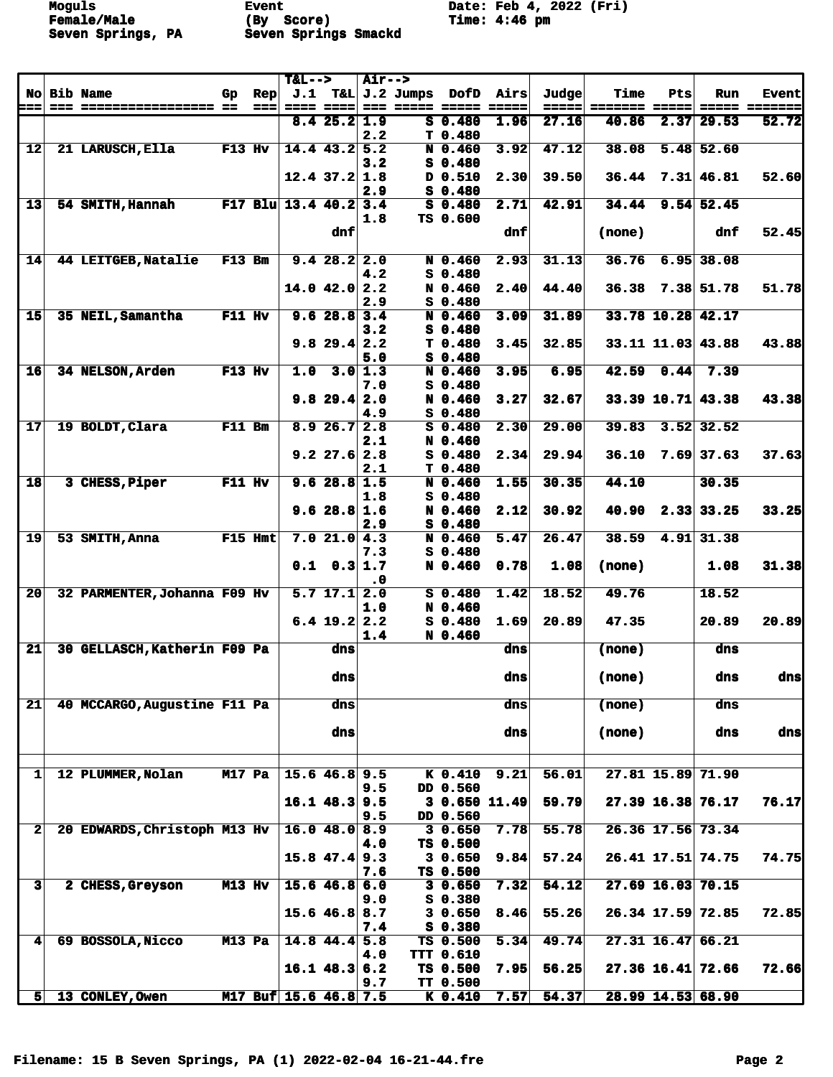**Moguls Event** Event Date: Feb 4, 2022 (Fri)<br> **Female/Male** (By Score) Time: 4:46 pm **Female/Male (By Score) Time: 4:46 pm Seven Springs, PA Seven Springs Smackd** 

|                         |                              |               |                    | $T&L-->$                |                           | $Air--$        |                       |                              |                   |                |                        |      |                     |                        |
|-------------------------|------------------------------|---------------|--------------------|-------------------------|---------------------------|----------------|-----------------------|------------------------------|-------------------|----------------|------------------------|------|---------------------|------------------------|
| ===                     | No Bib Name                  | Gp            | Rep<br>$=$ $=$ $=$ | $= 222$                 | -----                     |                | $J.1$ T&L $J.2$ Jumps | DofD                         | Airs<br>-----     | Judge<br>===== | <b>Time</b>            | Pts  | <b>Run</b>          | <b>Event</b>           |
|                         |                              |               |                    |                         | 8.425.21.9                |                |                       | $S$ 0.480                    | 1.96              | 27.16          | ======= =====<br>40.86 |      | $2.37$ 29.53        | ===== =======<br>52.72 |
|                         |                              |               |                    |                         |                           | 2.2            |                       | T <sub>0.480</sub>           |                   |                |                        |      |                     |                        |
| 12                      | 21 LARUSCH, Ella             | <b>F13 Hv</b> |                    |                         | $14.4$ 43.2 5.2           |                |                       | N 0.460                      | 3.92              | 47.12          | 38.08                  |      | $5.48$ 52.60        |                        |
|                         |                              |               |                    |                         |                           | 3.2            |                       | $S$ 0.480                    |                   |                |                        |      |                     |                        |
|                         |                              |               |                    |                         | $12.4$ 37.2 1.8           | 2.9            |                       | D 0.510<br>S 0.480           | 2.30              | 39.50          | 36.44                  |      | 7.31   46.81        | 52.60                  |
| 13                      | 54 SMITH, Hannah             |               |                    | F17 Blu $13.4$ 40.2 3.4 |                           |                |                       | $S$ 0.480                    | 2.71              | 42.91          | 34.44                  |      | $9.54$ 52.45        |                        |
|                         |                              |               |                    |                         |                           | 1.8            |                       | TS 0.600                     |                   |                |                        |      |                     |                        |
|                         |                              |               |                    |                         | dnf                       |                |                       |                              | dnf               |                | (none)                 |      | dnf                 | 52.45                  |
| 14                      | 44 LEITGEB, Natalie          | $F13$ Bm      |                    |                         | 9.428.22.0                |                |                       | N 0.460                      | 2.93              | 31.13          | 36.76                  |      | $6.95$ 38.08        |                        |
|                         |                              |               |                    |                         |                           | 4.2            |                       | $S$ 0.480                    |                   |                |                        |      |                     |                        |
|                         |                              |               |                    |                         | $14.0$ $42.0$ $2.2$       |                |                       | N 0.460                      | 2.40              | 44.40          | 36.38                  |      | 7.38 51.78          | 51.78                  |
| 15 <sub>l</sub>         | 35 NEIL, Samantha            | <b>F11 Hv</b> |                    |                         | $\overline{9.6}$ 28.8 3.4 | 2.9            |                       | $S$ 0.480<br>N 0.460         | 3.09              | 31.89          |                        |      | 33.78 10.28 42.17   |                        |
|                         |                              |               |                    |                         |                           | 3.2            |                       | $S$ 0.480                    |                   |                |                        |      |                     |                        |
|                         |                              |               |                    |                         | $9.8$ 29.4 2.2            |                |                       | T <sub>0.480</sub>           | 3.45              | 32.85          |                        |      | 33.11 11.03 43.88   | 43.88                  |
|                         |                              |               |                    |                         |                           | 5.0            |                       | $S$ 0.480                    |                   |                |                        |      |                     |                        |
| 16                      | 34 NELSON, Arden             | $F13$ Hv      |                    | 1.0                     |                           | 3.0 1.3<br>7.0 |                       | N 0.460<br>$S$ 0.480         | 3.95              | 6.95           | 42.59                  | 0.44 | 7.39                |                        |
|                         |                              |               |                    |                         | $9.8$ 29.4 2.0            |                |                       | N 0.460                      | 3.27              | 32.67          |                        |      | 33.39 10.71 43.38   | 43.38                  |
|                         |                              |               |                    |                         |                           | 4.9            |                       | $S$ 0.480                    |                   |                |                        |      |                     |                        |
| 17                      | 19 BOLDT, Clara              | $F11$ Bm      |                    |                         | 8.926.72.8                |                |                       | $S$ 0.480                    | 2.30              | 29.00          | 39.83                  |      | $3.52$ 32.52        |                        |
|                         |                              |               |                    |                         | $9.2$ 27.6 2.8            | 2.1            |                       | N 0.460<br>$S$ 0.480         | 2.34              | 29.94          | 36.10                  |      | $7.69$ 37.63        | 37.63                  |
|                         |                              |               |                    |                         |                           | 2.1            |                       | T 0.480                      |                   |                |                        |      |                     |                        |
| 18                      | 3 CHESS, Piper               | $F11$ Hv      |                    |                         | 9.628.81.5                |                |                       | N 0.460                      | 1.55              | 30.35          | 44.10                  |      | 30.35               |                        |
|                         |                              |               |                    |                         |                           | 1.8            |                       | $S$ 0.480                    |                   |                |                        |      |                     |                        |
|                         |                              |               |                    |                         | 9.628.81.6                | 2.9            |                       | N 0.460<br>$S$ 0.480         | 2.12              | 30.92          | 40.90                  |      | 2.33   33.25        | 33.25                  |
| 19                      | 53 SMITH, Anna               | F15 Hmt       |                    |                         | 7.021.04.3                |                |                       | N 0.460                      | 5.47              | 26.47          | 38.59                  |      | 4.91 31.38          |                        |
|                         |                              |               |                    |                         |                           | 7.3            |                       | $S$ 0.480                    |                   |                |                        |      |                     |                        |
|                         |                              |               |                    |                         | $0.1 \quad 0.3 \, 1.7$    | $\cdot$ 0      |                       | N 0.460                      | 0.78              | 1.08           | (none)                 |      | 1.08                | 31.38                  |
| 20 <sub>l</sub>         | 32 PARMENTER, Johanna F09 Hv |               |                    |                         | $5.7$ 17.1 2.0            |                |                       | $S$ 0.480                    | 1.42              | 18.52          | 49.76                  |      | 18.52               |                        |
|                         |                              |               |                    |                         |                           | 1.0            |                       | N 0.460                      |                   |                |                        |      |                     |                        |
|                         |                              |               |                    |                         | $6.4$ 19.2 2.2            |                |                       | $S$ 0.480                    | 1.69              | 20.89          | 47.35                  |      | 20.89               | 20.89                  |
| 21                      | 30 GELLASCH, Katherin F09 Pa |               |                    |                         | dns                       | 1.4            |                       | N 0.460                      | dns               |                | (none)                 |      | dns                 |                        |
|                         |                              |               |                    |                         |                           |                |                       |                              |                   |                |                        |      |                     |                        |
|                         |                              |               |                    |                         | dns                       |                |                       |                              | dns               |                | (none)                 |      | dns                 | dnsl                   |
| 21                      | 40 MCCARGO, Augustine F11 Pa |               |                    |                         | dns                       |                |                       |                              |                   |                |                        |      | dns                 |                        |
|                         |                              |               |                    |                         |                           |                |                       |                              | dns               |                | (none)                 |      |                     |                        |
|                         |                              |               |                    |                         | dns                       |                |                       |                              | dns               |                | (none)                 |      | dns                 | dns                    |
|                         |                              |               |                    |                         |                           |                |                       |                              |                   |                |                        |      |                     |                        |
| 1                       | 12 PLUMMER, Nolan            | <b>M17 Pa</b> |                    |                         | $15.6$ 46.8 9.5           |                |                       | K <sub>0.410</sub>           | 9.21              | 56.01          |                        |      | 27.81 15.89 71.90   |                        |
|                         |                              |               |                    |                         |                           | 9.5            |                       | DD 0.560                     |                   |                |                        |      |                     |                        |
|                         |                              |               |                    |                         | $16.1$ 48.3 9.5           |                |                       | 3 0.650 11.49                |                   | 59.79          |                        |      | 27.39 16.38 76.17   | 76.17                  |
| $\mathbf{2}$            |                              |               |                    |                         |                           | 9.5            |                       | DD 0.560                     |                   |                |                        |      | 26.36 17.56 73.34   |                        |
|                         | 20 EDWARDS, Christoph M13 Hv |               |                    |                         | $16.0$ 48.0               | 8.9<br>4.0     |                       | 30.650<br>TS 0.500           | 7.78              | 55.78          |                        |      |                     |                        |
|                         |                              |               |                    |                         | $15.8$ 47.4 9.3           |                |                       | 30.650                       | 9.84              | 57.24          |                        |      | 26.41 17.51 74.75   | 74.75                  |
|                         |                              |               |                    |                         |                           | 7.6            |                       | TS 0.500                     |                   |                |                        |      |                     |                        |
| $\overline{\mathbf{3}}$ | 2 CHESS, Greyson             | M13 Hv        |                    |                         | $15.6$ 46.8               | 6.0<br>9.0     |                       | 30.650<br>$S$ 0.380          | 7.32              | 54.12          |                        |      | $27.69$ 16.03 70.15 |                        |
|                         |                              |               |                    |                         | $15.6$ 46.8 8.7           |                |                       | 30.650                       | 8.46              | 55.26          |                        |      | 26.34 17.59 72.85   | 72.85                  |
|                         |                              |               |                    |                         |                           | 7.4            |                       | $S_0.380$                    |                   |                |                        |      |                     |                        |
| $\mathbf{4}$            | 69 BOSSOLA, Nicco            | <b>M13 Pa</b> |                    |                         | $14.8$ 44.4 5.8           |                |                       | TS 0.500                     | $\overline{5.34}$ | 49.74          |                        |      | $27.31$ 16.47 66.21 |                        |
|                         |                              |               |                    |                         | $16.1$ 48.3 6.2           | 4.0            |                       | <b>TTT 0.610</b><br>TS 0.500 | 7.95              | 56.25          |                        |      | $27.36$ 16.41 72.66 | 72.66                  |
|                         |                              |               |                    |                         |                           | 9.7            |                       | <b>TT 0.500</b>              |                   |                |                        |      |                     |                        |
| 5                       | 13 CONLEY, Owen              |               |                    | M17 Buf 15.6 46.8 7.5   |                           |                |                       | $K_0.410$                    | 7.57              | 54.37          |                        |      | 28.99 14.53 68.90   |                        |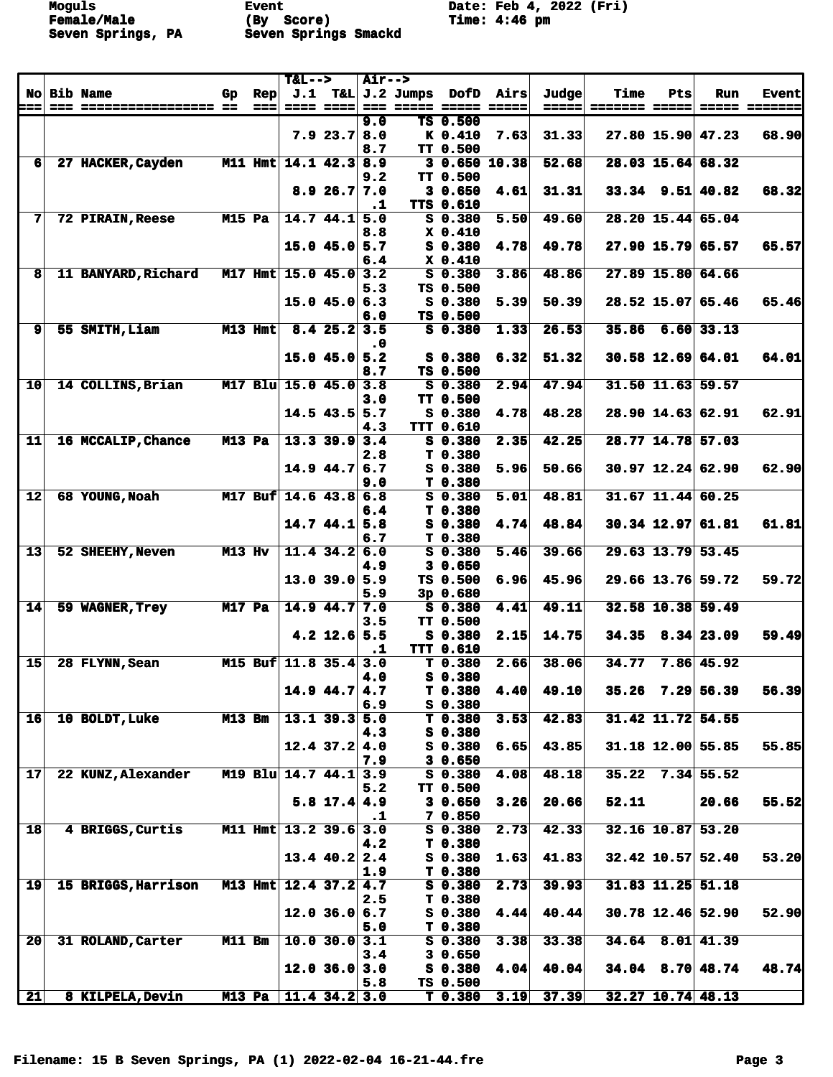**Female/Male (By Score) Time: 4:46 pm Seven Springs, PA Seven Springs Smackd** 

**Moguls Event** Event Date: Feb 4, 2022 (Fri)<br> **Female/Male** (By Score) Time: 4:46 pm

|                 |                     |               |                | $T&L-->$                |                           | <b>Air--&gt;</b> |                                 |      |       |       |     |                         |                      |
|-----------------|---------------------|---------------|----------------|-------------------------|---------------------------|------------------|---------------------------------|------|-------|-------|-----|-------------------------|----------------------|
|                 | No Bib Name         | Gp.           | $\mathbf{Rep}$ |                         |                           |                  | J.1 T&L J.2 Jumps DofD Airs     |      | Judge | Time  | Pts | Run                     | <b>Event</b>         |
| ===             |                     |               | s = = l        |                         | <b>==== ====</b>          |                  |                                 |      | ===== |       |     |                         | <b>===== =======</b> |
|                 |                     |               |                |                         |                           | 9.0              | TS 0.500                        |      |       |       |     |                         |                      |
|                 |                     |               |                |                         | $7.9$ 23.7 8.0            |                  | K 0.410                         | 7.63 | 31.33 |       |     | $27.80$ 15.90 47.23     | 68.90                |
| 6 <sup>1</sup>  | 27 HACKER, Cayden   |               |                | M11 Hmt 14.1 42.3 8.9   |                           | 8.7              | TT 0.500<br>30.65010.38         |      | 52.68 |       |     | 28.03 15.64 68.32       |                      |
|                 |                     |               |                |                         |                           | 9.2              | TT 0.500                        |      |       |       |     |                         |                      |
|                 |                     |               |                |                         | 8.926.77.0                |                  | 30.650                          | 4.61 | 31.31 |       |     | $33.34$ 9.51 40.82      | 68.32                |
|                 |                     |               |                |                         |                           | $\cdot$ 1        | TTS 0.610                       |      |       |       |     |                         |                      |
| 7               | 72 PIRAIN, Reese    | M15 Pa        |                | $14.7$ 44.1 5.0         |                           |                  | $S$ 0.380                       | 5.50 | 49.60 |       |     | 28.20 15.44 65.04       |                      |
|                 |                     |               |                |                         |                           | 8.8              | X 0.410                         |      |       |       |     |                         |                      |
|                 |                     |               |                | $15.0$ 45.0 5.7         |                           |                  | S 0.380                         | 4.78 | 49.78 |       |     | 27.90 15.79 65.57       | 65.57                |
|                 |                     |               |                |                         |                           | 6.4              | $X_0.410$                       |      |       |       |     |                         |                      |
| 8               | 11 BANYARD, Richard |               |                | M17 Hmt 15.0 45.0 3.2   |                           |                  | $S$ 0.380                       | 3.86 | 48.86 |       |     | 27.89 15.80 64.66       |                      |
|                 |                     |               |                |                         |                           | 5.3              | TS 0.500                        |      |       |       |     |                         |                      |
|                 |                     |               |                | 15.045.06.3             |                           |                  | $S_0.380$                       | 5.39 | 50.39 |       |     | 28.52 15.07 65.46       | 65.46                |
|                 |                     |               |                |                         |                           | 6.0              | TS 0.500                        |      |       |       |     |                         |                      |
| $\mathbf{9}$    | 55 SMITH, Liam      |               | M13 Hmt        |                         | $\overline{8.4}$ 25.2 3.5 |                  | $S$ 0.380                       | 1.33 | 26.53 |       |     | $35.86$ 6.60 33.13      |                      |
|                 |                     |               |                |                         |                           | $\cdot$ 0        |                                 |      |       |       |     |                         |                      |
|                 |                     |               |                | $15.0$ 45.0 5.2         |                           |                  | S 0.380                         | 6.32 | 51.32 |       |     | $30.58$ 12.69 64.01     | 64.01                |
|                 |                     |               |                |                         |                           | 8.7              | TS 0.500                        |      |       |       |     |                         |                      |
| 10              | 14 COLLINS, Brian   |               |                | M17 Blu $15.0$ 45.0     |                           | 3.8              | $S$ 0.380                       | 2.94 | 47.94 |       |     | 31.50 11.63 59.57       |                      |
|                 |                     |               |                |                         |                           | 3.0              | <b>TT 0.500</b>                 |      |       |       |     |                         |                      |
|                 |                     |               |                | $14.5$ 43.5 5.7         |                           |                  | $S$ 0.380                       | 4.78 | 48.28 |       |     | 28.90 14.63 62.91       | 62.91                |
|                 |                     |               |                |                         |                           | 4.3              | <b>TTT 0.610</b>                |      |       |       |     |                         |                      |
| $11$            | 16 MCCALIP, Chance  | $M13$ Pa      |                | $13.3$ 39.9 3.4         |                           |                  | $S$ 0.380                       | 2.35 | 42.25 |       |     | 28.77 14.78 57.03       |                      |
|                 |                     |               |                |                         |                           | 2.8              | T <sub>0.380</sub>              |      |       |       |     |                         |                      |
|                 |                     |               |                | $14.9$ 44.7 6.7         |                           |                  | $S$ 0.380                       | 5.96 | 50.66 |       |     | $30.97$ 12.24 62.90     | 62.90                |
| 12              | 68 YOUNG, Noah      |               |                | M17 Buf $14.6$ 43.8 6.8 |                           | 9.0              | T <sub>0.380</sub><br>$S$ 0.380 | 5.01 | 48.81 |       |     | $31.67$ 11.44 60.25     |                      |
|                 |                     |               |                |                         |                           | 6.4              | T 0.380                         |      |       |       |     |                         |                      |
|                 |                     |               |                | 14.744.15.8             |                           |                  | $S_0.380$                       | 4.74 | 48.84 |       |     | 30.34 12.97 61.81       | 61.81                |
|                 |                     |               |                |                         |                           | 6.7              | T <sub>0.380</sub>              |      |       |       |     |                         |                      |
| 13              | 52 SHEEHY, Neven    | M13 Hv        |                | 11.4 $34.2$ 6.0         |                           |                  | $S$ 0.380                       | 5.46 | 39.66 |       |     | 29.63 13.79 53.45       |                      |
|                 |                     |               |                |                         |                           | 4.9              | 30.650                          |      |       |       |     |                         |                      |
|                 |                     |               |                | $13.0$ 39.0 5.9         |                           |                  | TS 0.500                        | 6.96 | 45.96 |       |     | 29.66 13.76 59.72       | 59.72                |
|                 |                     |               |                |                         |                           | 5.9              | 3p0.680                         |      |       |       |     |                         |                      |
| 14              | 59 WAGNER, Trey     | <b>M17 Pa</b> |                | $14.9$ 44.7 7.0         |                           |                  | $S$ 0.380                       | 4.41 | 49.11 |       |     | 32.58 10.38 59.49       |                      |
|                 |                     |               |                |                         |                           | 3.5              | <b>TT 0.500</b>                 |      |       |       |     |                         |                      |
|                 |                     |               |                |                         | $4.2$ 12.6 5.5            |                  | $S_0.380$                       | 2.15 | 14.75 |       |     | $34.35$ 8.34 23.09      | 59.49                |
|                 |                     |               |                |                         |                           | $\cdot$ 1        | <b>TTT 0.610</b>                |      |       |       |     |                         |                      |
| 15              | 28 FLYNN, Sean      |               |                | M15 Buf 11.8 35.4 3.0   |                           |                  | T <sub>0.380</sub>              | 2.66 | 38.06 | 34.77 |     | 7.86 45.92              |                      |
|                 |                     |               |                |                         |                           | 4.0              | $S$ 0.380                       |      |       |       |     |                         |                      |
|                 |                     |               |                | $14.9$ 44.7 4.7         |                           |                  | T 0.380                         | 4.40 | 49.10 |       |     | $35.26$ 7.29 56.39      | 56.39                |
|                 |                     |               |                |                         |                           | 6.9              | $S$ 0.380                       |      |       |       |     |                         |                      |
| 16              | 10 BOLDT, Luke      | <b>M13 Bm</b> |                | $13.1$ 39.3 5.0         |                           |                  | $T$ 0.380                       | 3.53 | 42.83 |       |     | 31.42 11.72 54.55       |                      |
|                 |                     |               |                |                         |                           | 4.3              | $S_0.380$                       |      |       |       |     |                         |                      |
|                 |                     |               |                | $12.4$ 37.2 4.0         |                           |                  | $S_0.380$<br>30.650             | 6.65 | 43.85 |       |     | 31.18 12.00 55.85       | 55.85                |
| 17              | 22 KUNZ, Alexander  |               |                | M19 Blu 14.7 44.1 3.9   |                           | 7.9              | $S$ 0.380                       | 4.08 | 48.18 |       |     | 35.22 7.34 55.52        |                      |
|                 |                     |               |                |                         |                           | 5.2              | TT 0.500                        |      |       |       |     |                         |                      |
|                 |                     |               |                |                         | $5.8$ 17.4 4.9            |                  | 30.650                          | 3.26 | 20.66 | 52.11 |     | 20.66                   | 55.52                |
|                 |                     |               |                |                         |                           | $\cdot$ 1        | 7 0.850                         |      |       |       |     |                         |                      |
| 18              | 4 BRIGGS, Curtis    |               | $M11$ Hmt      | $13.2$ 39.6             |                           | 3.0              | $S$ 0.380                       | 2.73 | 42.33 |       |     | 32.16 10.87 53.20       |                      |
|                 |                     |               |                |                         |                           | 4.2              | T 0.380                         |      |       |       |     |                         |                      |
|                 |                     |               |                | $13.4$ 40.2 2.4         |                           |                  | S 0.380                         | 1.63 | 41.83 |       |     | $32.42$ 10.57 52.40     | 53.20                |
|                 |                     |               |                |                         |                           | 1.9              | T 0.380                         |      |       |       |     |                         |                      |
| 19              | 15 BRIGGS, Harrison |               | $M13$ Hmt      | $12.4$ 37.2 4.7         |                           |                  | $S$ 0.380                       | 2.73 | 39.93 |       |     | $31.83$ $11.25$ $51.18$ |                      |
|                 |                     |               |                |                         |                           | 2.5              | T 0.380                         |      |       |       |     |                         |                      |
|                 |                     |               |                | 12.0 36.0 6.7           |                           |                  | $S_0.380$                       | 4.44 | 40.44 |       |     | $30.78$ 12.46 52.90     | 52.90                |
|                 |                     |               |                |                         |                           | 5.0              | T 0.380                         |      |       |       |     |                         |                      |
| 20 <sub>l</sub> | 31 ROLAND, Carter   | M11 Bm        |                | 10.0 30.0 3.1           |                           |                  | $S_0.380$                       | 3.38 | 33.38 |       |     | $34.64$ 8.01 41.39      |                      |
|                 |                     |               |                |                         |                           | 3.4              | 30.650                          |      |       |       |     |                         |                      |
|                 |                     |               |                | 12.0 36.0 3.0           |                           |                  | $S$ 0.380                       | 4.04 | 40.04 |       |     | $34.04$ 8.70 48.74      | 48.74                |
|                 |                     |               |                |                         |                           | 5.8              | TS 0.500                        |      |       |       |     |                         |                      |
| $\overline{21}$ | 8 KILPELA, Devin    | $M13$ Pa      |                | $11.4$ 34.2 3.0         |                           |                  | T <sub>0.380</sub>              | 3.19 | 37.39 |       |     | $32.27$ 10.74 48.13     |                      |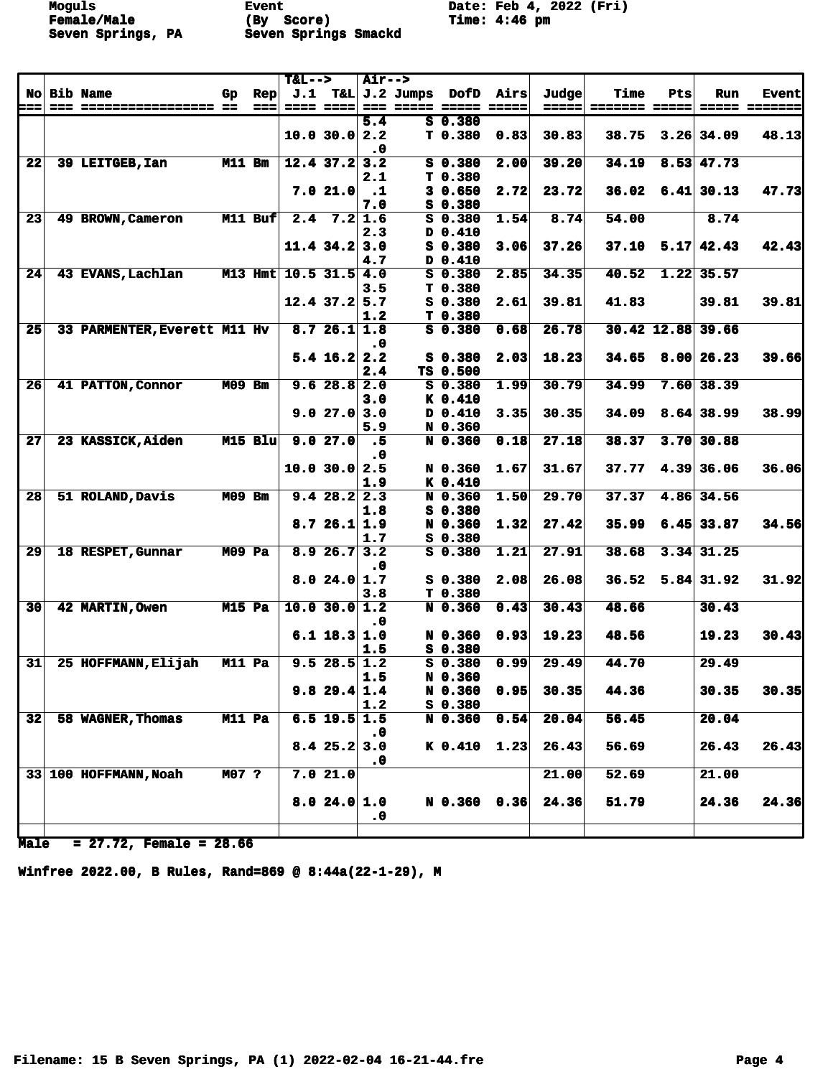Moguls **Event** Event Date: Feb 4, 2022 (Fri)<br>
Female/Male (By Score) Time: 4:46 pm **Seven Springs, PA Seven Springs Smackd** 

**Fime: 4:46 pm** 

|                 |                              |               |                | $T&L-->$ |                 | <b>Air--&gt;</b> |                       |                    |                    |       |               |      |                   |                     |
|-----------------|------------------------------|---------------|----------------|----------|-----------------|------------------|-----------------------|--------------------|--------------------|-------|---------------|------|-------------------|---------------------|
|                 | No Bib Name                  | Gp.           | $\mathbf{Rep}$ |          |                 |                  | $J.1$ T&L $J.2$ Jumps | DofD               | Airs               | Judge | Time          | Pts  | <b>Run</b>        | <b>Event</b>        |
| ===             |                              |               | ===            | $= 222$  | 2222            | $= 1.1$          | =====                 |                    | <b>===== =====</b> | ----- | ======= ===== |      |                   | <b>===== ======</b> |
|                 |                              |               |                |          |                 | 5.4              |                       | $S$ 0.380          |                    |       |               |      |                   |                     |
|                 |                              |               |                |          | 10.0 30.0       | 2.2              |                       | T 0.380            | 0.83               | 30.83 | 38.75         |      | $3.26$ 34.09      | 48.13               |
|                 |                              |               |                |          |                 | $\cdot$ 0        |                       |                    |                    |       |               |      |                   |                     |
| 22              | 39 LEITGEB, Ian              | M11 Bm        |                |          | $12.4$ 37.2     | 3.2              |                       | $S$ 0.380          | 2.00               | 39.20 | 34.19         | 8.53 | 47.73             |                     |
|                 |                              |               |                |          |                 | 2.1              |                       | T 0.380            |                    |       |               |      |                   |                     |
|                 |                              |               |                |          | 7.021.0         | $\cdot$ 1        |                       | 30.650             | 2.72               | 23.72 | 36.02         |      | $6.41$ 30.13      | 47.73               |
|                 |                              |               |                |          |                 | 7.0              |                       | $S$ 0.380          |                    |       |               |      |                   |                     |
| 23              | 49 BROWN, Cameron            |               | M11 Buf        |          | $2.4$ 7.2       | 1.6              |                       | $S$ 0.380          | 1.54               | 8.74  | 54.00         |      | 8.74              |                     |
|                 |                              |               |                |          |                 | 2.3              |                       | D 0.410            |                    |       |               |      |                   |                     |
|                 |                              |               |                |          | $11.4$ 34.2     | 3.0              |                       | $S$ 0.380          | 3.06               | 37.26 | 37.10         |      | $5.17 \mid 42.43$ | 42.43               |
|                 |                              |               |                |          |                 | 4.7              |                       | $D$ 0.410          |                    |       |               |      |                   |                     |
| 24              | 43 EVANS, Lachlan            |               | $M13$ Hmt      |          | $10.5$ 31.5 4.0 |                  |                       | $S = 0.380$        | 2.85               | 34.35 | 40.52         | 1.22 | 35.57             |                     |
|                 |                              |               |                |          |                 | 3.5              |                       | T 0.380            |                    |       |               |      |                   |                     |
|                 |                              |               |                |          | $12.4$ 37.2 5.7 |                  |                       | $S$ 0.380          | 2.61               | 39.81 | 41.83         |      | 39.81             | 39.81               |
|                 |                              |               |                |          |                 | 1.2              |                       | T 0.380            |                    |       |               |      |                   |                     |
| 25              | 33 PARMENTER, Everett M11 Hv |               |                |          | 8.726.11.8      |                  |                       | $S$ 0.380          | 0.68               | 26.78 |               |      | 30.42 12.88 39.66 |                     |
|                 |                              |               |                |          |                 | $\cdot$ 0        |                       |                    |                    |       |               |      |                   |                     |
|                 |                              |               |                |          | $5.4$ 16.2 2.2  |                  |                       | $S_0.380$          | 2.03               | 18.23 | 34.65         |      | 8.00 26.23        | 39.66               |
|                 |                              |               |                |          |                 | 2.4              |                       | TS 0.500           |                    |       |               |      |                   |                     |
| 26              | 41 PATTON, Connor            | <b>M09 Bm</b> |                |          | 9.628.8         | 2.0              |                       | $S$ 0.380          | 1.99               | 30.79 | 34.99         | 7.60 | 38.39             |                     |
|                 |                              |               |                |          |                 | 3.0              |                       | K 0.410            |                    |       |               |      |                   |                     |
|                 |                              |               |                |          | 9.027.0         | 3.0              |                       | D 0.410            | 3.35               | 30.35 | 34.09         |      | $8.64$ 38.99      | 38.99               |
|                 |                              |               |                |          |                 | 5.9              |                       | N 0.360            |                    |       |               |      |                   |                     |
| 27              | 23 KASSICK, Aiden            |               | $M15$ Blu      |          | 9.027.0         | .5               |                       | N 0.360            | 0.18               | 27.18 | 38.37         | 3.70 | 30.88             |                     |
|                 |                              |               |                |          |                 | $\cdot$ 0        |                       |                    |                    |       |               |      |                   |                     |
|                 |                              |               |                |          | 10.0 30.0       | 2.5              |                       | N 0.360            | 1.67               | 31.67 | 37.77         |      | $4.39$ 36.06      | 36.06               |
|                 |                              |               |                |          |                 | 1.9              |                       | K 0.410            |                    |       |               |      |                   |                     |
| 28              | 51 ROLAND, Davis             | <b>M09 Bm</b> |                |          | 9.428.2         | 2.3              |                       | N 0.360            | 1.50               | 29.70 | 37.37         | 4.86 | 34.56             |                     |
|                 |                              |               |                |          |                 | 1.8              |                       | S 0.380            |                    |       |               |      |                   |                     |
|                 |                              |               |                |          | 8.726.11.9      |                  |                       | N 0.360            | 1.32               | 27.42 | 35.99         |      | $6.45 \mid 33.87$ | 34.56               |
|                 |                              |               |                |          |                 | 1.7              |                       | S 0.380            |                    |       |               |      |                   |                     |
| 29              | 18 RESPET, Gunnar            | <b>M09 Pa</b> |                |          | 8.926.7         | 3.2              |                       | $S$ 0.380          | 1.21               | 27.91 | 38.68         |      | $3.34$ 31.25      |                     |
|                 |                              |               |                |          |                 | $\cdot$ 0        |                       |                    |                    |       |               |      |                   |                     |
|                 |                              |               |                |          | 8.024.0         | 1.7              |                       | $S_0.380$          | 2.08               | 26.08 | 36.52         |      | $5.84$ 31.92      | 31.92               |
|                 |                              |               |                |          |                 | 3.8              |                       | T <sub>0.380</sub> |                    |       |               |      |                   |                     |
| $\overline{30}$ | 42 MARTIN, Owen              | $M15$ Pa      |                |          | 10.0 30.0       | 1.2              |                       | N 0.360            | 0.43               | 30.43 | 48.66         |      | 30.43             |                     |
|                 |                              |               |                |          |                 | $\cdot$ 0        |                       |                    |                    |       |               |      |                   |                     |
|                 |                              |               |                |          | $6.1$ 18.3 1.0  |                  |                       | N 0.360            | 0.93               | 19.23 | 48.56         |      | 19.23             | 30.43               |
|                 |                              |               |                |          |                 | 1.5              |                       | S 0.380            |                    |       |               |      |                   |                     |
| 31              | 25 HOFFMANN, Elijah          | M11 Pa        |                |          | 9.528.51.2      |                  |                       | $S$ 0.380          | 0.99               | 29.49 | 44.70         |      | 29.49             |                     |
|                 |                              |               |                |          |                 | 1.5              |                       | N 0.360            |                    |       |               |      |                   |                     |
|                 |                              |               |                |          | 9.829.41.4      |                  |                       | N 0.360            | 0.95               | 30.35 | 44.36         |      | 30.35             | 30.35               |
|                 |                              |               |                |          |                 | 1.2              |                       | S 0.380            |                    |       |               |      |                   |                     |
| 32              | 58 WAGNER, Thomas            | M11 Pa        |                |          | $6.5$ 19.5      | 1.5              |                       | N 0.360            | 0.54               | 20.04 | 56.45         |      | 20.04             |                     |
|                 |                              |               |                |          |                 | $\cdot$ 0        |                       |                    |                    |       |               |      |                   |                     |
|                 |                              |               |                |          | $8.4$ 25.2      | 3.0              |                       | $K$ 0.410          | 1.23               | 26.43 | 56.69         |      | 26.43             | 26.43               |
|                 |                              |               |                |          |                 | $\cdot$ 0        |                       |                    |                    |       |               |      |                   |                     |
|                 | 33 100 HOFFMANN, Noah        | M07 ?         |                |          | 7.021.0         |                  |                       |                    |                    | 21.00 | 52.69         |      | 21.00             |                     |
|                 |                              |               |                |          |                 |                  |                       |                    |                    |       |               |      |                   |                     |
|                 |                              |               |                |          | 8.024.01.0      |                  |                       | N 0.360 0.36       |                    | 24.36 | 51.79         |      | 24.36             | 24.36               |
|                 |                              |               |                |          |                 | $\cdot$ 0        |                       |                    |                    |       |               |      |                   |                     |
|                 |                              |               |                |          |                 |                  |                       |                    |                    |       |               |      |                   |                     |

**Male = 27.72, Female = 28.66**

**Winfree 2022.00, B Rules, Rand=869 @ 8:44a(22-1-29), M**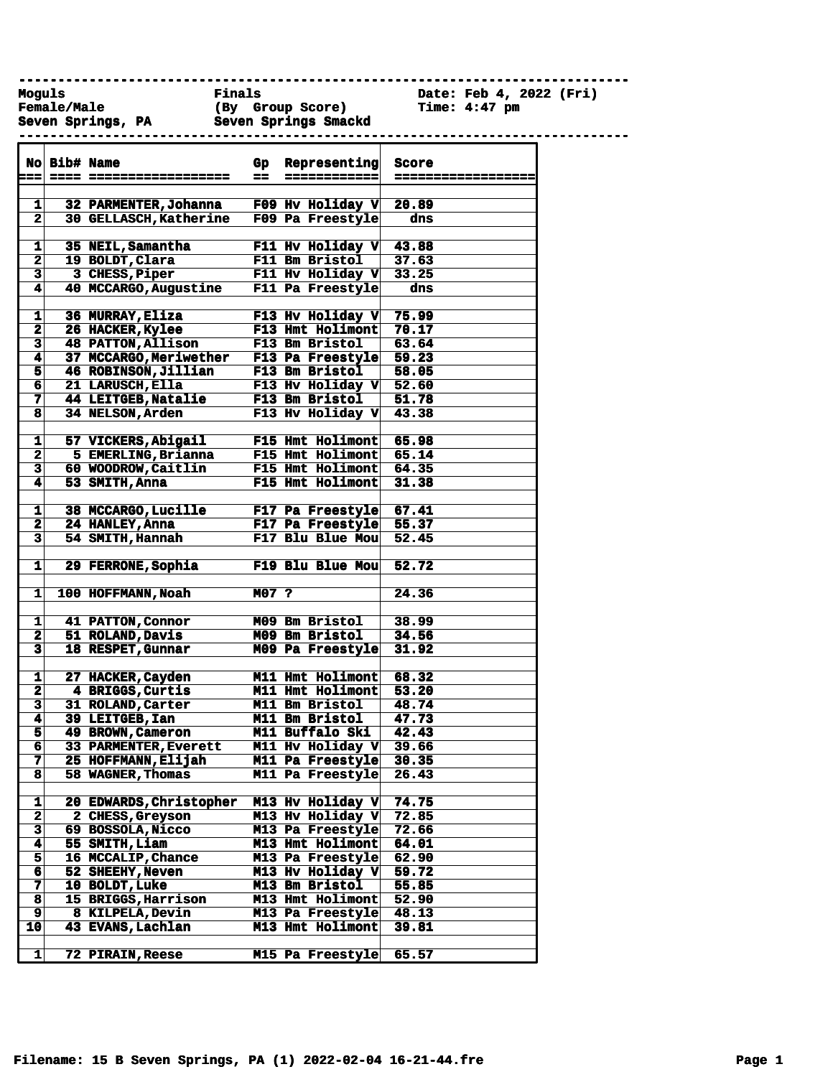**------------------------------------------------------------------------------**

**Moguls Finals Date: Feb 4, 2022 (Fri) Female/Male (By Group Score) Time: 4:47 pm Seven Springs, PA Seven Springs Smackd** 

 $\mathsf{I}$ 

|  | beven ppiings, fa |  | peven phrings pmacya |  |
|--|-------------------|--|----------------------|--|
|  |                   |  |                      |  |

|                         | No Bib# Name |                           | $G_{\mathbf{P}}$ | Representing              | <b>Score</b> |
|-------------------------|--------------|---------------------------|------------------|---------------------------|--------------|
|                         |              |                           | --               | ==========                | =======      |
|                         |              |                           |                  |                           |              |
| 1                       |              | 32 PARMENTER, Johanna     |                  | F09 Hv Holiday $V $ 20.89 |              |
| $\mathbf{2}$            |              | 30 GELLASCH, Katherine    |                  | F09 Pa Freestyle          | dns          |
|                         |              |                           |                  |                           |              |
| 1                       |              | 35 NEIL, Samantha         |                  | F11 Hv Holiday V          | 43.88        |
| 2                       |              | 19 BOLDT, Clara           |                  | F11 Bm Bristol            | 37.63        |
| $\overline{\mathbf{3}}$ |              | 3 CHESS, Piper            |                  | F11 Hv Holiday V          | 33.25        |
| 4                       |              | 40 MCCARGO, Augustine     |                  | F11 Pa Freestyle          | dns          |
|                         |              |                           |                  |                           |              |
| $\mathbf 1$             |              | 36 MURRAY, Eliza          |                  | F13 Hv Holiday V          | 75.99        |
| $\mathbf{2}$            |              | 26 HACKER, Kylee          |                  | F13 Hmt Holimont          | 70.17        |
| 3                       |              | <b>48 PATTON, Allison</b> |                  | F13 Bm Bristol            | 63.64        |
| 4                       |              | 37 MCCARGO, Meriwether    |                  | F13 Pa Freestyle          | 59.23        |
| 5                       |              | 46 ROBINSON, Jillian      |                  | F13 Bm Bristol            | 58.05        |
| 6                       |              | 21 LARUSCH, Ella          |                  | F13 Hv Holiday $V$ 52.60  |              |
| 7                       |              | 44 LEITGEB, Natalie       |                  | F13 Bm Bristol            | 51.78        |
| $\overline{\mathbf{8}}$ |              | 34 NELSON, Arden          |                  | F13 Hv Holiday V $43.38$  |              |
| 1                       |              | 57 VICKERS, Abigail       |                  | <b>F15 Hmt Holimont</b>   | 65.98        |
| $\overline{\mathbf{2}}$ |              | 5 EMERLING, Brianna       |                  | F15 Hmt Holimont          | 65.14        |
| $\overline{\mathbf{3}}$ |              | 60 WOODROW, Caitlin       |                  | F15 Hmt Holimont          | 64.35        |
| 4                       |              | 53 SMITH, Anna            |                  | F15 Hmt Holimont          | 31.38        |
|                         |              |                           |                  |                           |              |
| 1                       |              | 38 MCCARGO, Lucille       |                  | F17 Pa Freestyle 67.41    |              |
| $\overline{\mathbf{2}}$ |              | 24 HANLEY, Anna           |                  | F17 Pa Freestyle 55.37    |              |
| 3                       |              | 54 SMITH, Hannah          |                  | F17 Blu Blue Mou          | 52.45        |
|                         |              |                           |                  |                           |              |
| $\mathbf{1}$            |              | 29 FERRONE, Sophia        |                  | F19 Blu Blue Mou          | 52.72        |
|                         |              |                           |                  |                           |              |
| 1                       |              | 100 HOFFMANN, Noah        | M07 ?            |                           | 24.36        |
|                         |              |                           |                  |                           |              |
| 1                       |              | <b>41 PATTON, Connor</b>  |                  | M09 Bm Bristol            | 38.99        |
| $\mathbf{2}$            |              | 51 ROLAND, Davis          |                  | M09 Bm Bristol            | 34.56        |
| 3                       |              | 18 RESPET, Gunnar         |                  | M09 Pa Freestyle          | 31.92        |
|                         |              |                           |                  |                           |              |
| 1                       |              | 27 HACKER, Cayden         |                  | M11 Hmt Holimont          | 68.32        |
| $\overline{\mathbf{2}}$ |              | 4 BRIGGS, Curtis          |                  | M11 Hmt Holimont          | 53.20        |
| $\overline{\mathbf{3}}$ |              | 31 ROLAND, Carter         |                  | M11 Bm Bristol            | 48.74        |
| 4                       |              | 39 LEITGEB, Ian           |                  | <b>M11 Bm Bristol</b>     | 47.73        |
| 5                       |              | 49 BROWN, Cameron         |                  | M11 Buffalo Ski           | 42.43        |
| 6                       |              | 33 PARMENTER, Everett     |                  | M11 Hv Holiday V          | 39.66        |
| 7                       |              | 25 HOFFMANN, Elijah       |                  | M11 Pa Freestyle          | 30.35        |
| 8                       |              | 58 WAGNER, Thomas         |                  | M11 Pa Freestyle          | 26.43        |
|                         |              |                           |                  |                           |              |
| 1                       |              | 20 EDWARDS, Christopher   |                  | M13 Hv Holiday V          | 74.75        |
| 2                       |              | 2 CHESS, Greyson          |                  | M13 Hv Holiday V          | 72.85        |
| 3                       |              | 69 BOSSOLA, Nicco         |                  | M13 Pa Freestyle          | 72.66        |
| 4                       |              | 55 SMITH, Liam            |                  | M13 Hmt Holimont          | 64.01        |
| 5                       |              | 16 MCCALIP, Chance        |                  | M13 Pa Freestyle          | 62.90        |
| 6                       |              | 52 SHEEHY, Neven          |                  | M13 Hv Holiday V          | 59.72        |
| 7                       |              | 10 BOLDT, Luke            |                  | M13 Bm Bristol            | 55.85        |
| 8                       |              | 15 BRIGGS, Harrison       |                  | M13 Hmt Holimont          | 52.90        |
| 9                       |              | 8 KILPELA, Devin          |                  | M13 Pa Freestyle          | 48.13        |
| 10                      |              | 43 EVANS, Lachlan         |                  | M13 Hmt Holimont          | 39.81        |
| 1                       |              | <b>72 PIRAIN, Reese</b>   |                  |                           | 65.57        |
|                         |              |                           |                  | M15 Pa Freestyle          |              |